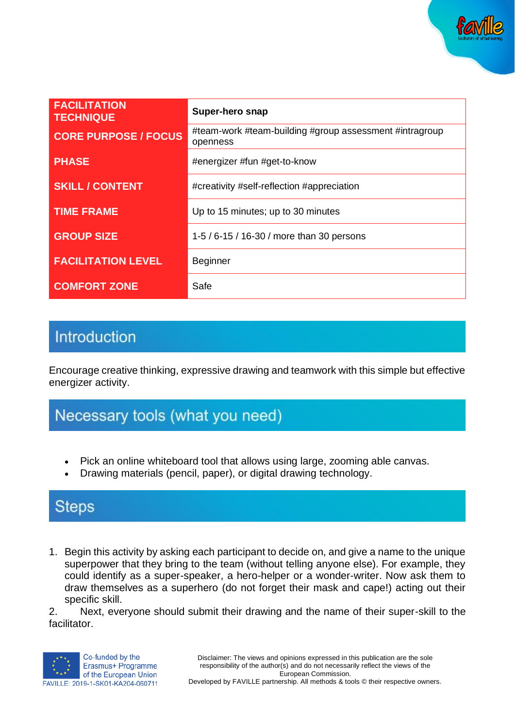

| <b>FACILITATION</b><br><b>TECHNIQUE</b> | <b>Super-hero snap</b>                                              |
|-----------------------------------------|---------------------------------------------------------------------|
| <b>CORE PURPOSE / FOCUS</b>             | #team-work #team-building #group assessment #intragroup<br>openness |
| <b>PHASE</b>                            | #energizer #fun #get-to-know                                        |
| <b>SKILL / CONTENT</b>                  | #creativity #self-reflection #appreciation                          |
| <b>TIME FRAME</b>                       | Up to 15 minutes; up to 30 minutes                                  |
| <b>GROUP SIZE</b>                       | 1-5 / 6-15 / 16-30 / more than 30 persons                           |
| <b>FACILITATION LEVEL</b>               | <b>Beginner</b>                                                     |
| <b>COMFORT ZONE</b>                     | Safe                                                                |

## Introduction

Encourage creative thinking, expressive drawing and teamwork with this simple but effective energizer activity.

## Necessary tools (what you need)

- Pick an online whiteboard tool that allows using large, zooming able canvas.
- Drawing materials (pencil, paper), or digital drawing technology.

### **Steps**

1. Begin this activity by asking each participant to decide on, and give a name to the unique superpower that they bring to the team (without telling anyone else). For example, they could identify as a super-speaker, a hero-helper or a wonder-writer. Now ask them to draw themselves as a superhero (do not forget their mask and cape!) acting out their specific skill.

2. Next, everyone should submit their drawing and the name of their super-skill to the facilitator.